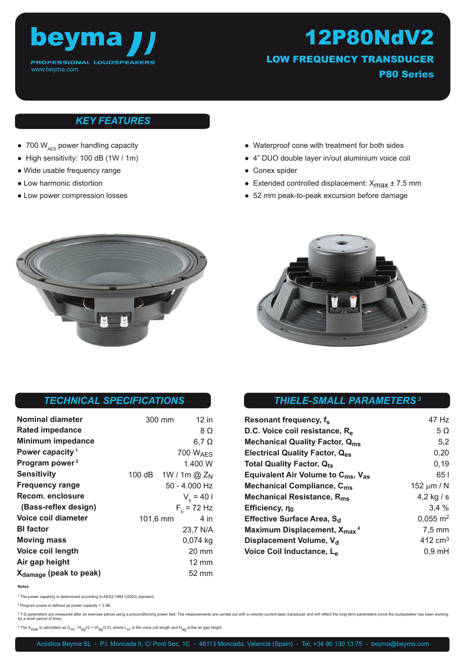

12P80NdV2 LOW FREQUENCY TRANSDUCER P80 Series

## *KEY FEATURES*

- 700  $W_{AFS}$  power handling capacity
- High sensitivity: 100 dB (1W / 1m)
- Wide usable frequency range
- Low harmonic distortion
- Low power compression losses
- Waterproof cone with treatment for both sides
- 4" DUO double layer in/out aluminium voice coil
- Conex spider
- Extended controlled displacement:  $X_{\text{max}} \pm 7.5 \text{ mm}$
- 52 mm peak-to-peak excursion before damage





### *TECHNICAL SPECIFICATIONS*

| <b>Nominal diameter</b>            | 300 mm          | 12 in                |
|------------------------------------|-----------------|----------------------|
| Rated impedance                    |                 | 8 Ω                  |
| <b>Minimum impedance</b>           |                 | $6,7$ $\Omega$       |
| Power capacity <sup>1</sup>        |                 | 700 $W_{\text{AFS}}$ |
| Program power <sup>2</sup>         |                 | 1.400 W              |
| <b>Sensitivity</b>                 | 100 dB          | $1W/1m$ @ $Z_N$      |
| <b>Frequency range</b>             |                 | 50 - 4.000 Hz        |
| Recom. enclosure                   |                 | $V_h = 401$          |
| (Bass-reflex design)               | $F_{h}$ = 72 Hz |                      |
| Voice coil diameter                | 101,6 mm        | 4 in                 |
| <b>BI</b> factor                   |                 | 23,7 N/A             |
| <b>Moving mass</b>                 |                 | $0,074$ kg           |
| Voice coil length                  |                 | 20 mm                |
| Air gap height                     |                 | $12 \text{ mm}$      |
| X <sub>damage</sub> (peak to peak) |                 | 52 mm                |

## *THIELE-SMALL PARAMETERS<sup>3</sup>*

| Resonant frequency, f <sub>s</sub>                         | 47 Hz               |
|------------------------------------------------------------|---------------------|
| D.C. Voice coil resistance, R <sub>e</sub>                 | $5\Omega$           |
| <b>Mechanical Quality Factor, Qms</b>                      | 5,2                 |
| Electrical Quality Factor, Q <sub>es</sub>                 | 0,20                |
| Total Quality Factor, Q <sub>ts</sub>                      | 0,19                |
| Equivalent Air Volume to $C_{\text{ms}}$ , V <sub>as</sub> | 65 I                |
| Mechanical Compliance, C <sub>ms</sub>                     | 152 $\mu$ m / N     |
| Mechanical Resistance, R <sub>ms</sub>                     | 4,2 kg $/s$         |
| Efficiency, $n_0$                                          | 3.4%                |
| Effective Surface Area, S <sub>d</sub>                     | $0,055 \text{ m}^2$ |
| Maximum Displacement, X <sub>max</sub> <sup>4</sup>        | $7.5 \text{ mm}$    |
| Displacement Volume, V <sub>d</sub>                        | $412 \text{ cm}^3$  |
| Voice Coil Inductance, L <sub>e</sub>                      | $0,9$ mH            |

**Notes**:

**<sup>1</sup>**The power capaticty is determined according to AES2-1984 (r2003) standard.

**<sup>2</sup>**Program power is defined as power capacity + 3 dB.

<sup>3</sup> T-S parameters are measured after an exercise period using a preconditioning power test. The measurements are carried out with a velocity-current laser transducer and will reflect the long term parameters (once the lou for a short period of time).

 $4$  The X<sub>max</sub> is calculated as  $(L_{\text{VC}} - H_{aq}/2 + (H_{aq}/3,5)$ , where  $L_{\text{VC}}$  is the voice coil length and H<sub>ag</sub> is the air gap height.